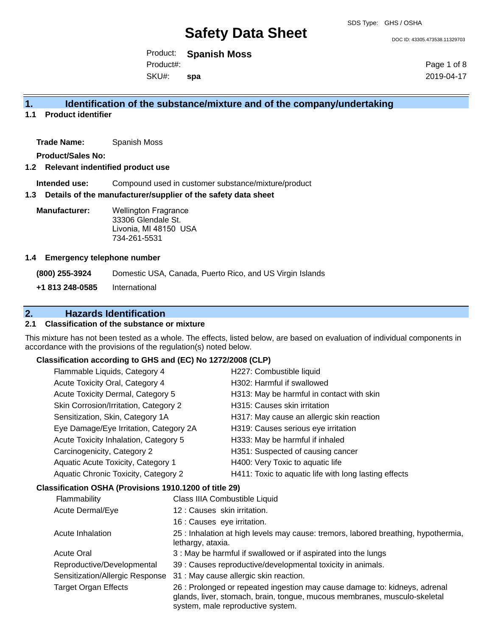DOC ID: 43305.473538.11329703

Product: **Spanish Moss**  SKU#: Product#: **spa**

Page 1 of 8 2019-04-17

# **1. Identification of the substance/mixture and of the company/undertaking**

**1.1 Product identifier**

**Trade Name:** Spanish Moss

**Product/Sales No:**

### **1.2 Relevant indentified product use**

**Intended use:** Compound used in customer substance/mixture/product

## **1.3 Details of the manufacturer/supplier of the safety data sheet**

**Manufacturer:** Wellington Fragrance 33306 Glendale St. Livonia, MI 48150 USA 734-261-5531

#### **1.4 Emergency telephone number**

**(800) 255-3924** Domestic USA, Canada, Puerto Rico, and US Virgin Islands **+1 813 248-0585** International

# **2. Hazards Identification**

# **2.1 Classification of the substance or mixture**

This mixture has not been tested as a whole. The effects, listed below, are based on evaluation of individual components in accordance with the provisions of the regulation(s) noted below.

# **Classification according to GHS and (EC) No 1272/2008 (CLP)**

| Flammable Liquids, Category 4          | H227: Combustible liquid                              |
|----------------------------------------|-------------------------------------------------------|
| Acute Toxicity Oral, Category 4        | H302: Harmful if swallowed                            |
| Acute Toxicity Dermal, Category 5      | H313: May be harmful in contact with skin             |
| Skin Corrosion/Irritation, Category 2  | H315: Causes skin irritation                          |
| Sensitization, Skin, Category 1A       | H317: May cause an allergic skin reaction             |
| Eye Damage/Eye Irritation, Category 2A | H319: Causes serious eye irritation                   |
| Acute Toxicity Inhalation, Category 5  | H333: May be harmful if inhaled                       |
| Carcinogenicity, Category 2            | H351: Suspected of causing cancer                     |
| Aquatic Acute Toxicity, Category 1     | H400: Very Toxic to aquatic life                      |
| Aquatic Chronic Toxicity, Category 2   | H411: Toxic to aquatic life with long lasting effects |

## **Classification OSHA (Provisions 1910.1200 of title 29)**

| Flammability                    | Class IIIA Combustible Liquid                                                                                                                                                                |
|---------------------------------|----------------------------------------------------------------------------------------------------------------------------------------------------------------------------------------------|
| <b>Acute Dermal/Eye</b>         | 12 : Causes skin irritation.                                                                                                                                                                 |
|                                 | 16 : Causes eye irritation.                                                                                                                                                                  |
| Acute Inhalation                | 25 : Inhalation at high levels may cause: tremors, labored breathing, hypothermia,<br>lethargy, ataxia.                                                                                      |
| <b>Acute Oral</b>               | 3 : May be harmful if swallowed or if aspirated into the lungs                                                                                                                               |
| Reproductive/Developmental      | 39 : Causes reproductive/developmental toxicity in animals.                                                                                                                                  |
| Sensitization/Allergic Response | 31 : May cause allergic skin reaction.                                                                                                                                                       |
| <b>Target Organ Effects</b>     | 26 : Prolonged or repeated ingestion may cause damage to: kidneys, adrenal<br>glands, liver, stomach, brain, tongue, mucous membranes, musculo-skeletal<br>system, male reproductive system. |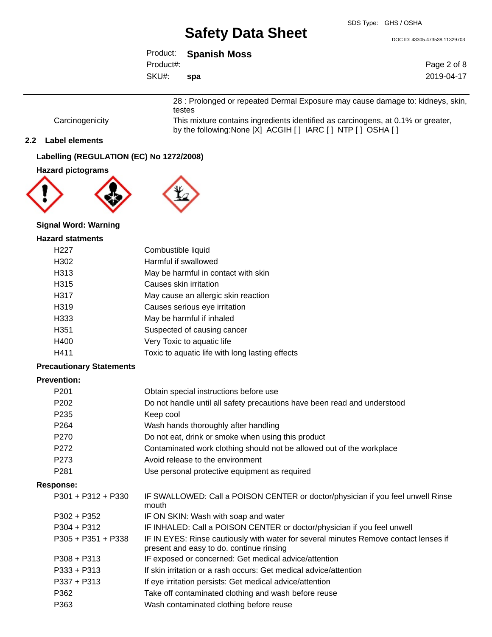DOC ID: 43305.473538.11329703

| Product:  | <b>Spanish Moss</b> |
|-----------|---------------------|
| Product#: |                     |
| SKU#:     | spa                 |

Page 2 of 8 2019-04-17

28 : Prolonged or repeated Dermal Exposure may cause damage to: kidneys, skin, testes

Carcinogenicity This mixture contains ingredients identified as carcinogens, at 0.1% or greater, by the following:None [X] ACGIH [ ] IARC [ ] NTP [ ] OSHA [ ]

## **2.2 Label elements**

# **Labelling (REGULATION (EC) No 1272/2008)**

# **Hazard pictograms**





# **Signal Word: Warning**

#### **Hazard statments**

| H227 | Combustible liquid                              |
|------|-------------------------------------------------|
| H302 | Harmful if swallowed                            |
| H313 | May be harmful in contact with skin             |
| H315 | Causes skin irritation                          |
| H317 | May cause an allergic skin reaction             |
| H319 | Causes serious eye irritation                   |
| H333 | May be harmful if inhaled                       |
| H351 | Suspected of causing cancer                     |
| H400 | Very Toxic to aquatic life                      |
| H411 | Toxic to aquatic life with long lasting effects |

## **Precautionary Statements**

## **Prevention:**

| P201                 | Obtain special instructions before use                                                                                           |
|----------------------|----------------------------------------------------------------------------------------------------------------------------------|
| P <sub>202</sub>     | Do not handle until all safety precautions have been read and understood                                                         |
| P <sub>235</sub>     | Keep cool                                                                                                                        |
| P <sub>264</sub>     | Wash hands thoroughly after handling                                                                                             |
| P270                 | Do not eat, drink or smoke when using this product                                                                               |
| P272                 | Contaminated work clothing should not be allowed out of the workplace                                                            |
| P273                 | Avoid release to the environment                                                                                                 |
| P <sub>281</sub>     | Use personal protective equipment as required                                                                                    |
| Response:            |                                                                                                                                  |
| P301 + P312 + P330   | IF SWALLOWED: Call a POISON CENTER or doctor/physician if you feel unwell Rinse<br>mouth                                         |
| P302 + P352          | IF ON SKIN: Wash with soap and water                                                                                             |
| $P304 + P312$        | IF INHALED: Call a POISON CENTER or doctor/physician if you feel unwell                                                          |
| $P305 + P351 + P338$ | IF IN EYES: Rinse cautiously with water for several minutes Remove contact lenses if<br>present and easy to do. continue rinsing |
| $P308 + P313$        | IF exposed or concerned: Get medical advice/attention                                                                            |
| $P333 + P313$        | If skin irritation or a rash occurs: Get medical advice/attention                                                                |
| P337 + P313          | If eye irritation persists: Get medical advice/attention                                                                         |
| P362                 | Take off contaminated clothing and wash before reuse                                                                             |
| P363                 | Wash contaminated clothing before reuse                                                                                          |
|                      |                                                                                                                                  |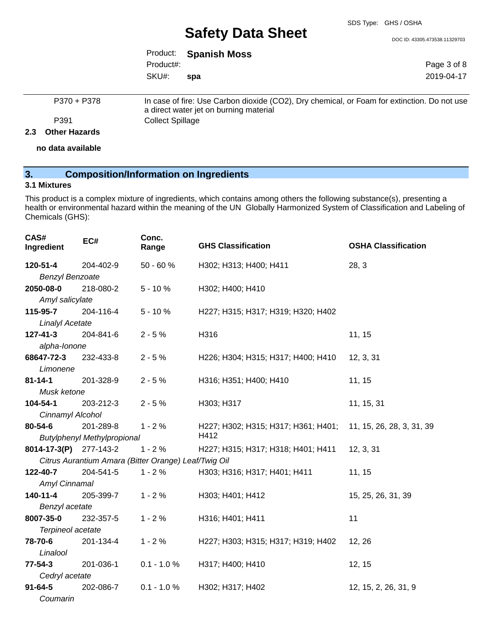#### SDS Type: GHS / OSHA

# **Safety Data Sheet**

DOC ID: 43305.473538.11329703

|           | Product: Spanish Moss |  |
|-----------|-----------------------|--|
| Product#: |                       |  |
| SKU#: spa |                       |  |

Page 3 of 8 2019-04-17

| P370 + P378 | In case of fire: Use Carbon dioxide (CO2), Dry chemical, or Foam for extinction. Do not use<br>a direct water jet on burning material |
|-------------|---------------------------------------------------------------------------------------------------------------------------------------|
| P391        | Collect Spillage                                                                                                                      |
|             |                                                                                                                                       |

## **2.3 Other Hazards**

**no data available**

# **3. Composition/Information on Ingredients**

## **3.1 Mixtures**

This product is a complex mixture of ingredients, which contains among others the following substance(s), presenting a health or environmental hazard within the meaning of the UN Globally Harmonized System of Classification and Labeling of Chemicals (GHS):

| CAS#<br>Ingredient     | EC#                                                  | Conc.<br>Range | <b>GHS Classification</b>           | <b>OSHA Classification</b> |  |
|------------------------|------------------------------------------------------|----------------|-------------------------------------|----------------------------|--|
| 120-51-4               | 204-402-9                                            | $50 - 60%$     | H302; H313; H400; H411              | 28, 3                      |  |
| <b>Benzyl Benzoate</b> |                                                      |                |                                     |                            |  |
| 2050-08-0              | 218-080-2                                            | $5 - 10%$      | H302; H400; H410                    |                            |  |
| Amyl salicylate        |                                                      |                |                                     |                            |  |
| 115-95-7               | 204-116-4                                            | $5 - 10%$      | H227; H315; H317; H319; H320; H402  |                            |  |
| <b>Linalyl Acetate</b> |                                                      |                |                                     |                            |  |
| 127-41-3               | 204-841-6                                            | $2 - 5%$       | H316                                | 11, 15                     |  |
| alpha-lonone           |                                                      |                |                                     |                            |  |
| 68647-72-3             | 232-433-8                                            | $2 - 5%$       | H226; H304; H315; H317; H400; H410  | 12, 3, 31                  |  |
| Limonene               |                                                      |                |                                     |                            |  |
| $81 - 14 - 1$          | 201-328-9                                            | $2 - 5%$       | H316; H351; H400; H410              | 11, 15                     |  |
| Musk ketone            |                                                      |                |                                     |                            |  |
| 104-54-1               | 203-212-3                                            | $2 - 5%$       | H303; H317                          | 11, 15, 31                 |  |
| Cinnamyl Alcohol       |                                                      |                |                                     |                            |  |
| 80-54-6                | 201-289-8                                            | $1 - 2%$       | H227; H302; H315; H317; H361; H401; | 11, 15, 26, 28, 3, 31, 39  |  |
|                        | <b>Butylphenyl Methylpropional</b>                   |                | H412                                |                            |  |
| 8014-17-3(P) 277-143-2 |                                                      | $1 - 2%$       | H227; H315; H317; H318; H401; H411  | 12, 3, 31                  |  |
|                        | Citrus Aurantium Amara (Bitter Orange) Leaf/Twig Oil |                |                                     |                            |  |
| 122-40-7               | 204-541-5                                            | $1 - 2%$       | H303; H316; H317; H401; H411        | 11, 15                     |  |
| Amyl Cinnamal          |                                                      |                |                                     |                            |  |
| $140 - 11 - 4$         | 205-399-7                                            | $1 - 2%$       | H303; H401; H412                    | 15, 25, 26, 31, 39         |  |
| Benzyl acetate         |                                                      |                |                                     |                            |  |
| 8007-35-0              | 232-357-5                                            | $1 - 2%$       | H316; H401; H411                    | 11                         |  |
| Terpineol acetate      |                                                      |                |                                     |                            |  |
| 78-70-6                | 201-134-4                                            | $1 - 2%$       | H227; H303; H315; H317; H319; H402  | 12, 26                     |  |
| Linalool               |                                                      |                |                                     |                            |  |
| $77 - 54 - 3$          | 201-036-1                                            | $0.1 - 1.0 %$  | H317; H400; H410                    | 12, 15                     |  |
|                        | Cedryl acetate                                       |                |                                     |                            |  |
| $91 - 64 - 5$          | 202-086-7                                            | $0.1 - 1.0 %$  | H302; H317; H402                    | 12, 15, 2, 26, 31, 9       |  |
| Coumarin               |                                                      |                |                                     |                            |  |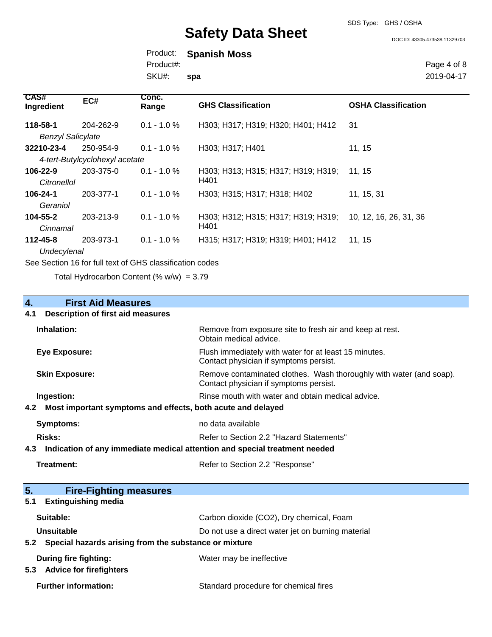SDS Type: GHS / OSHA

DOC ID: 43305.473538.11329703

Product: **Spanish Moss**  SKU#: Product#: **spa**

Page 4 of 8 2019-04-17

| CAS#<br>Ingredient       | EC#                            | Conc.<br>Range | <b>GHS Classification</b>           | <b>OSHA Classification</b> |
|--------------------------|--------------------------------|----------------|-------------------------------------|----------------------------|
| 118-58-1                 | 204-262-9                      | $0.1 - 1.0 %$  | H303; H317; H319; H320; H401; H412  | -31                        |
| <b>Benzyl Salicylate</b> |                                |                |                                     |                            |
| 32210-23-4               | 250-954-9                      | $0.1 - 1.0 \%$ | H303; H317; H401                    | 11, 15                     |
|                          | 4-tert-Butylcyclohexyl acetate |                |                                     |                            |
| 106-22-9                 | 203-375-0                      | $0.1 - 1.0 \%$ | H303; H313; H315; H317; H319; H319; | 11, 15                     |
| Citronellol              |                                |                | H401                                |                            |
| 106-24-1                 | 203-377-1                      | $0.1 - 1.0 \%$ | H303; H315; H317; H318; H402        | 11, 15, 31                 |
| Geraniol                 |                                |                |                                     |                            |
| $104 - 55 - 2$           | 203-213-9                      | $0.1 - 1.0 \%$ | H303; H312; H315; H317; H319; H319; | 10, 12, 16, 26, 31, 36     |
| Cinnamal                 |                                |                | H401                                |                            |
| $112 - 45 - 8$           | 203-973-1                      | $0.1 - 1.0 %$  | H315; H317; H319; H319; H401; H412  | 11, 15                     |
| Undecylenal              |                                |                |                                     |                            |

See Section 16 for full text of GHS classification codes

Total Hydrocarbon Content (%  $w/w$ ) = 3.79

# **4. First Aid Measures 4.1 Description of first aid measures Inhalation:** Remove from exposure site to fresh air and keep at rest. Obtain medical advice. **Eye Exposure:** Flush immediately with water for at least 15 minutes. Contact physician if symptoms persist. **Skin Exposure: Remove contaminated clothes. Wash thoroughly with water (and soap).** Remove contaminated clothes. Wash thoroughly with water (and soap). Contact physician if symptoms persist. **Ingestion: Rinse mouth with water and obtain medical advice. Rinse mouth with water and obtain medical advice. 4.2 Most important symptoms and effects, both acute and delayed Symptoms:** no data available **Risks:** Risks: Refer to Section 2.2 "Hazard Statements" **4.3 Indication of any immediate medical attention and special treatment needed Treatment:** Refer to Section 2.2 "Response" **5. Fire-Fighting measures 5.1 Extinguishing media** Suitable: Carbon dioxide (CO2), Dry chemical, Foam **Unsuitable** Do not use a direct water jet on burning material **5.2 Special hazards arising from the substance or mixture During fire fighting:** Water may be ineffective

**5.3 Advice for firefighters**

**Further information:** Standard procedure for chemical fires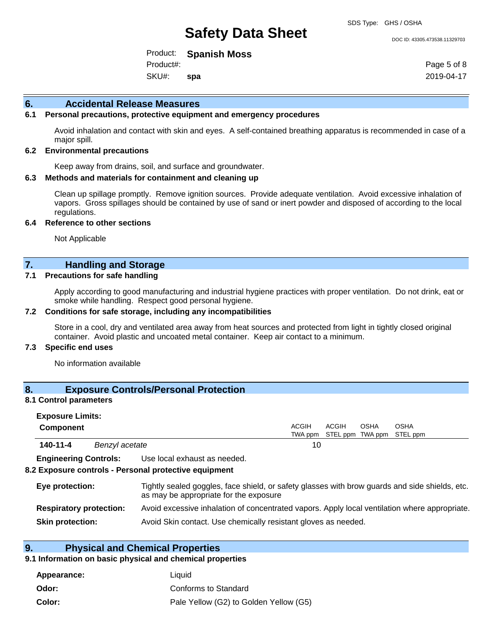#### DOC ID: 43305.473538.11329703

Product: **Spanish Moss**  SKU#: Product#: **spa**

Page 5 of 8 2019-04-17

### **6. Accidental Release Measures**

## **6.1 Personal precautions, protective equipment and emergency procedures**

Avoid inhalation and contact with skin and eyes. A self-contained breathing apparatus is recommended in case of a major spill.

#### **6.2 Environmental precautions**

Keep away from drains, soil, and surface and groundwater.

#### **6.3 Methods and materials for containment and cleaning up**

Clean up spillage promptly. Remove ignition sources. Provide adequate ventilation. Avoid excessive inhalation of vapors. Gross spillages should be contained by use of sand or inert powder and disposed of according to the local regulations.

#### **6.4 Reference to other sections**

Not Applicable

# **7. Handling and Storage**

## **7.1 Precautions for safe handling**

Apply according to good manufacturing and industrial hygiene practices with proper ventilation. Do not drink, eat or smoke while handling. Respect good personal hygiene.

#### **7.2 Conditions for safe storage, including any incompatibilities**

Store in a cool, dry and ventilated area away from heat sources and protected from light in tightly closed original container. Avoid plastic and uncoated metal container. Keep air contact to a minimum.

## **7.3 Specific end uses**

No information available

## **8. Exposure Controls/Personal Protection**

#### **8.1 Control parameters**

| <b>Exposure Limits:</b><br><b>Component</b> |                                                                                                                                           | <b>ACGIH</b><br>TWA ppm | <b>ACGIH</b> | OSHA | <b>OSHA</b><br>STEL ppm TWA ppm STEL ppm |  |
|---------------------------------------------|-------------------------------------------------------------------------------------------------------------------------------------------|-------------------------|--------------|------|------------------------------------------|--|
| 140-11-4<br>Benzyl acetate                  |                                                                                                                                           | 10                      |              |      |                                          |  |
| <b>Engineering Controls:</b>                | Use local exhaust as needed.<br>8.2 Exposure controls - Personal protective equipment                                                     |                         |              |      |                                          |  |
| Eye protection:                             | Tightly sealed goggles, face shield, or safety glasses with brow guards and side shields, etc.<br>as moules appropriate for the overaging |                         |              |      |                                          |  |

|                                | as may be appropriate for the exposure.                                                       |
|--------------------------------|-----------------------------------------------------------------------------------------------|
| <b>Respiratory protection:</b> | Avoid excessive inhalation of concentrated vapors. Apply local ventilation where appropriate. |
| <b>Skin protection:</b>        | Avoid Skin contact. Use chemically resistant gloves as needed.                                |

# **9. Physical and Chemical Properties**

### **9.1 Information on basic physical and chemical properties**

| Appearance: | Liauid                                 |
|-------------|----------------------------------------|
| Odor:       | Conforms to Standard                   |
| Color:      | Pale Yellow (G2) to Golden Yellow (G5) |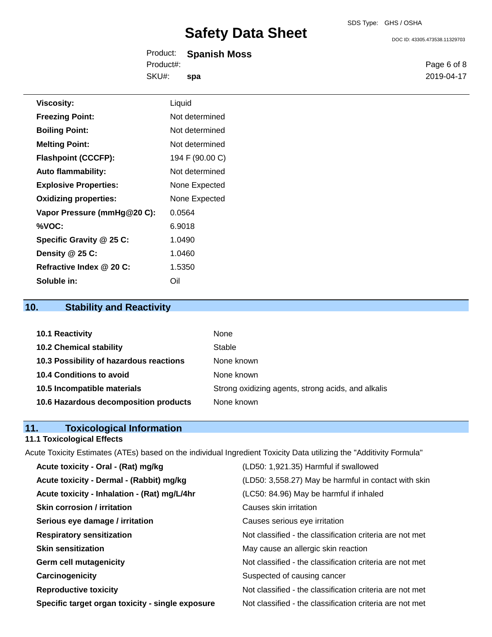DOC ID: 43305.473538.11329703

| Product:  | <b>Spanish Moss</b> |  |
|-----------|---------------------|--|
| Product#: |                     |  |
| SKU#:     | spa                 |  |

Page 6 of 8 2019-04-17

| <b>Viscosity:</b>            | Liquid          |
|------------------------------|-----------------|
| <b>Freezing Point:</b>       | Not determined  |
| <b>Boiling Point:</b>        | Not determined  |
| <b>Melting Point:</b>        | Not determined  |
| <b>Flashpoint (CCCFP):</b>   | 194 F (90.00 C) |
| <b>Auto flammability:</b>    | Not determined  |
| <b>Explosive Properties:</b> | None Expected   |
| <b>Oxidizing properties:</b> | None Expected   |
| Vapor Pressure (mmHg@20 C):  | 0.0564          |
| %VOC:                        | 6.9018          |
| Specific Gravity @ 25 C:     | 1.0490          |
| Density @ 25 C:              | 1.0460          |
| Refractive Index @ 20 C:     | 1.5350          |
| Soluble in:                  | Oil             |

# **10. Stability and Reactivity**

| 10.1 Reactivity                         | None                                               |
|-----------------------------------------|----------------------------------------------------|
| <b>10.2 Chemical stability</b>          | Stable                                             |
| 10.3 Possibility of hazardous reactions | None known                                         |
| 10.4 Conditions to avoid                | None known                                         |
| 10.5 Incompatible materials             | Strong oxidizing agents, strong acids, and alkalis |
| 10.6 Hazardous decomposition products   | None known                                         |

# **11. Toxicological Information**

# **11.1 Toxicological Effects**

Acute Toxicity Estimates (ATEs) based on the individual Ingredient Toxicity Data utilizing the "Additivity Formula"

| Acute toxicity - Oral - (Rat) mg/kg              | (LD50: 1,921.35) Harmful if swallowed                    |
|--------------------------------------------------|----------------------------------------------------------|
| Acute toxicity - Dermal - (Rabbit) mg/kg         | (LD50: 3,558.27) May be harmful in contact with skin     |
| Acute toxicity - Inhalation - (Rat) mg/L/4hr     | (LC50: 84.96) May be harmful if inhaled                  |
| <b>Skin corrosion / irritation</b>               | Causes skin irritation                                   |
| Serious eye damage / irritation                  | Causes serious eye irritation                            |
| <b>Respiratory sensitization</b>                 | Not classified - the classification criteria are not met |
| <b>Skin sensitization</b>                        | May cause an allergic skin reaction                      |
| <b>Germ cell mutagenicity</b>                    | Not classified - the classification criteria are not met |
| Carcinogenicity                                  | Suspected of causing cancer                              |
| <b>Reproductive toxicity</b>                     | Not classified - the classification criteria are not met |
| Specific target organ toxicity - single exposure | Not classified - the classification criteria are not met |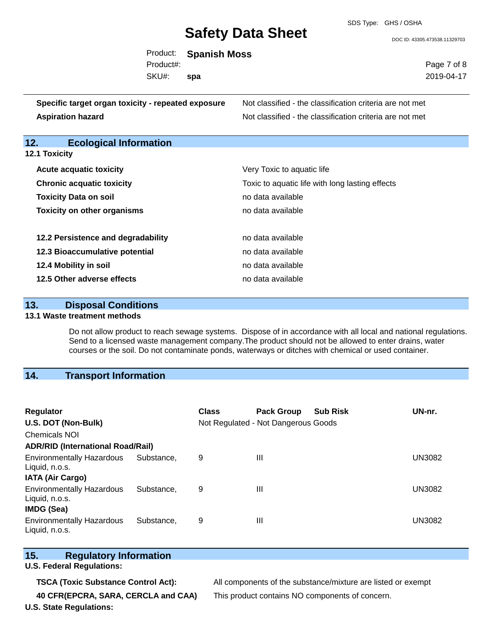SDS Type: GHS / OSHA

DOC ID: 43305.473538.11329703

|           | Product: Spanish Moss |             |
|-----------|-----------------------|-------------|
| Product#: |                       | Page 7 of 8 |
| SKU#:     | spa                   | 2019-04-17  |

**Specific target organ toxicity - repeated exposure** Not classified - the classification criteria are not met **Aspiration hazard Not classified - the classification criteria are not met** Not classified - the classification criteria are not met

# **12. Ecological Information**

**12.1 Toxicity**

| <b>Acute acquatic toxicity</b>     | Very Toxic to aquatic life                      |
|------------------------------------|-------------------------------------------------|
| <b>Chronic acquatic toxicity</b>   | Toxic to aquatic life with long lasting effects |
| <b>Toxicity Data on soil</b>       | no data available                               |
| <b>Toxicity on other organisms</b> | no data available                               |
|                                    |                                                 |
| 12.2 Persistence and degradability | no data available                               |
| 12.3 Bioaccumulative potential     | no data available                               |
| 12.4 Mobility in soil              | no data available                               |
| 12.5 Other adverse effects         | no data available                               |

| 13. | <b>Disposal Conditions</b> |
|-----|----------------------------|
|     |                            |

### **13.1 Waste treatment methods**

Do not allow product to reach sewage systems. Dispose of in accordance with all local and national regulations. Send to a licensed waste management company.The product should not be allowed to enter drains, water courses or the soil. Do not contaminate ponds, waterways or ditches with chemical or used container.

# **14. Transport Information**

| <b>Regulator</b><br>U.S. DOT (Non-Bulk)<br><b>Chemicals NOI</b> |            | Class | <b>Pack Group</b><br>Not Regulated - Not Dangerous Goods | <b>Sub Risk</b> | UN-nr.        |
|-----------------------------------------------------------------|------------|-------|----------------------------------------------------------|-----------------|---------------|
| <b>ADR/RID (International Road/Rail)</b>                        |            |       |                                                          |                 |               |
| <b>Environmentally Hazardous</b><br>Liquid, n.o.s.              | Substance. | 9     | Ш                                                        |                 | <b>UN3082</b> |
| <b>IATA (Air Cargo)</b>                                         |            |       |                                                          |                 |               |
| <b>Environmentally Hazardous</b><br>Liquid, n.o.s.              | Substance. | 9     | Ш                                                        |                 | <b>UN3082</b> |
| <b>IMDG (Sea)</b>                                               |            |       |                                                          |                 |               |
| <b>Environmentally Hazardous</b><br>Liquid, n.o.s.              | Substance. | 9     | Ш                                                        |                 | <b>UN3082</b> |

# **15. Regulatory Information**

**U.S. Federal Regulations:**

**U.S. State Regulations:**

**TSCA (Toxic Substance Control Act):** All components of the substance/mixture are listed or exempt **40 CFR(EPCRA, SARA, CERCLA and CAA)** This product contains NO components of concern.